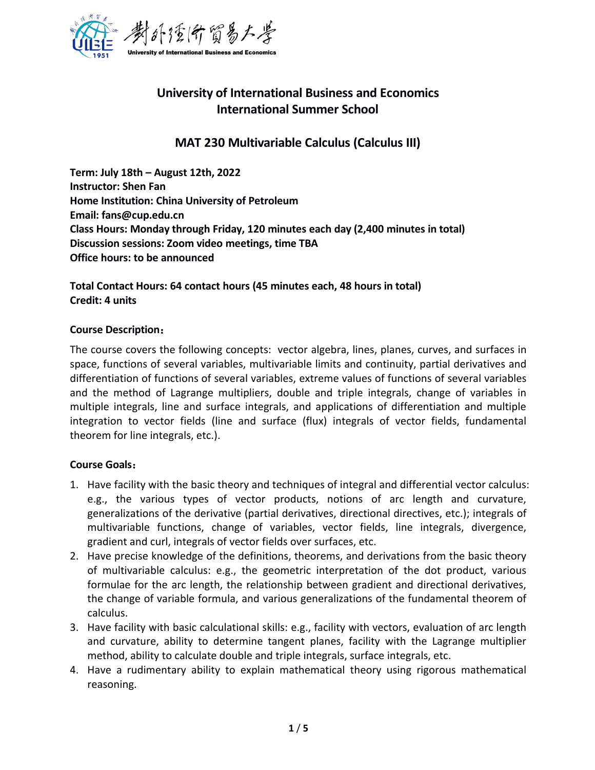

# **University of International Business and Economics International Summer School**

## **MAT 230 Multivariable Calculus (Calculus III)**

**Term: July 18th –August 12th, 2022 Instructor: Shen Fan Home Institution: China University of Petroleum Email: fans@cup.edu.cn Class Hours: Monday through Friday, 120 minutes each day (2,400 minutes in total) Discussion sessions: Zoom video meetings, time TBA Office hours: to be announced**

**Total Contact Hours: 64 contact hours (45 minutes each, 48 hours in total) Credit: 4 units**

#### **Course Description**:

The course covers the following concepts: vector algebra, lines, planes, curves, and surfaces in space, functions of several variables, multivariable limits and continuity, partial derivatives and differentiation of functions of several variables, extreme values of functions of several variables and the method of Lagrange multipliers, double and triple integrals, change of variables in multiple integrals, line and surface integrals, and applications of differentiation and multiple integration to vector fields (line and surface (flux) integrals of vector fields, fundamental theorem for line integrals, etc.).

#### **Course Goals**:

- 1. Have facility with the basic theory and techniques of integral and differential vector calculus: e.g., the various types of vector products, notions of arc length and curvature, generalizations of the derivative (partial derivatives, directional directives, etc.); integrals of multivariable functions, change of variables, vector fields, line integrals, divergence, gradient and curl, integrals of vector fields over surfaces, etc.
- 2. Have precise knowledge of the definitions, theorems, and derivations from the basic theory of multivariable calculus: e.g., the geometric interpretation of the dot product, various formulae for the arc length, the relationship between gradient and directional derivatives, the change of variable formula, and various generalizations of the fundamental theorem of calculus.
- 3. Have facility with basic calculational skills: e.g., facility with vectors, evaluation of arc length and curvature, ability to determine tangent planes, facility with the Lagrange multiplier method, ability to calculate double and triple integrals, surface integrals, etc.
- 4. Have a rudimentary ability to explain mathematical theory using rigorous mathematical reasoning.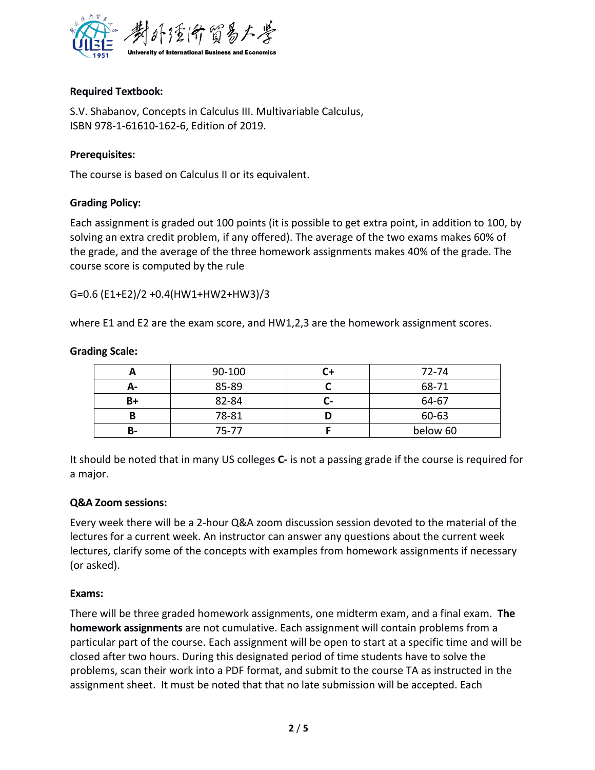

## **Required Textbook:**

S.V. Shabanov, Concepts in Calculus III. Multivariable Calculus, ISBN 978-1-61610-162-6, Edition of 2019.

#### **Prerequisites:**

The course is based on Calculus II or its equivalent.

## **Grading Policy:**

Each assignment is graded out 100 points (it is possible to get extra point, in addition to 100, by solving an extra credit problem, if any offered). The average of the two exams makes 60% of the grade, and the average of the three homework assignments makes 40% of the grade. The course score is computed by the rule

G=0.6 (E1+E2)/2 +0.4(HW1+HW2+HW3)/3

where E1 and E2 are the exam score, and HW1,2,3 are the homework assignment scores.

|    | 90-100    | C+ | 72-74    |
|----|-----------|----|----------|
| А- | 85-89     |    | 68-71    |
| B+ | 82-84     | U- | 64-67    |
| В  | 78-81     | D  | 60-63    |
| В- | $75 - 77$ |    | below 60 |

#### **Grading Scale:**

It should be noted that in many US colleges **C-** is not a passing grade if the course is required for a major.

#### **Q&A Zoom sessions:**

Every week there will be a 2-hour Q&A zoom discussion session devoted to the material of the lectures for a current week. An instructor can answer any questions about the current week lectures, clarify some of the concepts with examples from homework assignments if necessary (or asked).

#### **Exams:**

There will be three graded homework assignments, one midterm exam, and a final exam. **The homework assignments** are not cumulative. Each assignment will contain problems from a particular part of the course. Each assignment will be open to start at a specific time and will be closed after two hours. During this designated period of time students have to solve the problems, scan their work into a PDF format, and submit to the course TA as instructed in the assignment sheet. It must be noted that that no late submission will be accepted. Each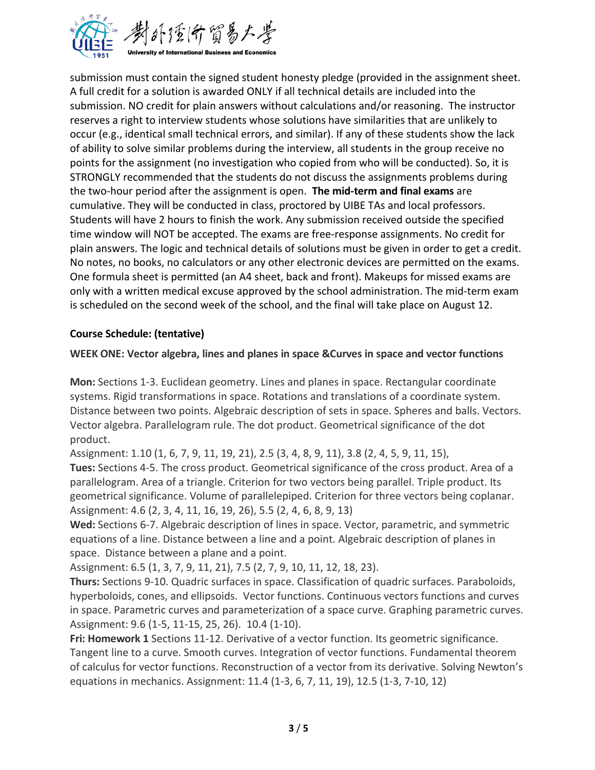

submission must contain the signed student honesty pledge (provided in the assignment sheet. A full credit for a solution is awarded ONLY if all technical details are included into the submission. NO credit for plain answers without calculations and/or reasoning. The instructor reserves a right to interview students whose solutions have similarities that are unlikely to occur (e.g., identical small technical errors, and similar). If any of these students show the lack of ability to solve similar problems during the interview, all students in the group receive no points for the assignment (no investigation who copied from who will be conducted). So, it is STRONGLY recommended that the students do not discuss the assignments problems during the two-hour period after the assignment is open. **The mid-term and final exams** are cumulative. They will be conducted in class, proctored by UIBE TAs and local professors. Students will have 2 hours to finish the work. Any submission received outside the specified time window will NOT be accepted. The exams are free-response assignments. No credit for plain answers. The logic and technical details of solutions must be given in order to get a credit. No notes, no books, no calculators or any other electronic devices are permitted on the exams. One formula sheet is permitted (an A4 sheet, back and front). Makeups for missed exams are only with a written medical excuse approved by the school administration. The mid-term exam is scheduled on the second week of the school, and the final will take place on August 12.

## **Course Schedule: (tentative)**

**WEEK ONE: Vector algebra, lines and planes in space &Curves in space and vector functions**

**Mon:** Sections 1-3. Euclidean geometry. Lines and planes in space. Rectangular coordinate systems. Rigid transformations in space. Rotations and translations of a coordinate system. Distance between two points. Algebraic description of sets in space. Spheres and balls. Vectors. Vector algebra. Parallelogram rule. The dot product. Geometrical significance of the dot product.

Assignment: 1.10 (1, 6, 7, 9, 11, 19, 21), 2.5 (3, 4, 8, 9, 11), 3.8 (2, 4, 5, 9, 11, 15),

**Tues:** Sections 4-5. The cross product. Geometrical significance of the cross product. Area of a parallelogram. Area of a triangle. Criterion for two vectors being parallel. Triple product. Its geometrical significance. Volume of parallelepiped. Criterion for three vectors being coplanar. Assignment: 4.6 (2, 3, 4, 11, 16, 19, 26), 5.5 (2, 4, 6, 8, 9, 13)

**Wed:** Sections 6-7. Algebraic description of lines in space. Vector, parametric, and symmetric equations of a line. Distance between a line and a point. Algebraic description of planes in space. Distance between a plane and a point.

Assignment: 6.5 (1, 3, 7, 9, 11, 21), 7.5 (2, 7, 9, 10, 11, 12, 18, 23).

**Thurs:** Sections 9-10. Quadric surfaces in space. Classification of quadric surfaces. Paraboloids, hyperboloids, cones, and ellipsoids. Vector functions. Continuous vectors functions and curves in space. Parametric curves and parameterization of a space curve. Graphing parametric curves. Assignment: 9.6 (1-5, 11-15, 25, 26). 10.4 (1-10).

**Fri: Homework 1** Sections 11-12. Derivative of a vector function. Its geometric significance. Tangent line to a curve. Smooth curves. Integration of vector functions. Fundamental theorem of calculus for vector functions. Reconstruction of a vector from its derivative. Solving Newton's equations in mechanics. Assignment: 11.4 (1-3, 6, 7, 11, 19), 12.5 (1-3, 7-10, 12)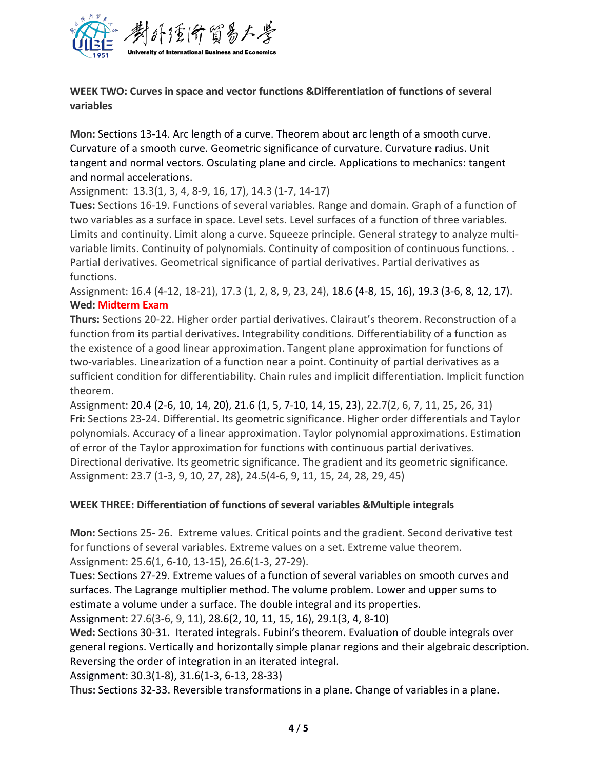

## **WEEK TWO: Curves in space and vector functions &Differentiation of functions of several variables**

**Mon:** Sections 13-14. Arc length of a curve. Theorem about arc length of a smooth curve. Curvature of a smooth curve. Geometric significance of curvature. Curvature radius. Unit tangent and normal vectors. Osculating plane and circle. Applications to mechanics: tangent and normal accelerations.

Assignment: 13.3(1, 3, 4, 8-9, 16, 17), 14.3 (1-7, 14-17)

**Tues:** Sections 16-19. Functions of several variables. Range and domain. Graph of a function of two variables as a surface in space. Level sets. Level surfaces of a function of three variables. Limits and continuity. Limit along a curve. Squeeze principle. General strategy to analyze multi variable limits. Continuity of polynomials. Continuity of composition of continuous functions. . Partial derivatives. Geometrical significance of partial derivatives. Partial derivatives as functions.

Assignment: 16.4 (4-12, 18-21), 17.3 (1, 2, 8, 9, 23, 24), 18.6 (4-8, 15, 16), 19.3 (3-6, 8, 12, 17). **Wed: Midterm Exam**

**Thurs:** Sections 20-22. Higher order partial derivatives. Clairaut's theorem. Reconstruction of a function from its partial derivatives. Integrability conditions. Differentiability of a function as the existence of a good linear approximation. Tangent plane approximation for functions of two-variables. Linearization of a function near a point. Continuity of partial derivatives as a sufficient condition for differentiability. Chain rules and implicit differentiation. Implicit function theorem.

Assignment: 20.4 (2-6, 10, 14, 20), 21.6 (1, 5, 7-10, 14, 15, 23), 22.7(2, 6, 7, 11, 25, 26, 31) **Fri:** Sections 23-24. Differential. Its geometric significance. Higher order differentials and Taylor polynomials. Accuracy of a linearapproximation. Taylor polynomial approximations. Estimation of error of the Taylor approximation for functions with continuous partial derivatives. Directional derivative. Its geometric significance. The gradient and its geometric significance. Assignment: 23.7 (1-3, 9, 10, 27, 28), 24.5(4-6, 9, 11, 15, 24, 28, 29, 45)

## **WEEK THREE: Differentiation of functions of several variables &Multiple integrals**

**Mon:** Sections 25- 26. Extreme values. Critical points and the gradient. Second derivative test for functions of several variables. Extreme values on a set. Extreme value theorem. Assignment: 25.6(1, 6-10, 13-15), 26.6(1-3, 27-29).

**Tues:** Sections 27-29. Extreme values of a function of several variables on smooth curves and surfaces. The Lagrange multiplier method. The volume problem. Lower and upper sums to estimate a volume under a surface. The double integral and its properties.

Assignment: 27.6(3-6, 9, 11), 28.6(2, 10, 11, 15, 16), 29.1(3, 4, 8-10)

**Wed:** Sections 30-31. Iterated integrals. Fubini's theorem. Evaluation of double integrals over general regions. Vertically and horizontally simple planar regions and their algebraic description. Reversing the order of integration in an iterated integral.

Assignment: 30.3(1-8), 31.6(1-3, 6-13, 28-33)

**Thus:** Sections 32-33. Reversible transformations in a plane. Change of variables in a plane.